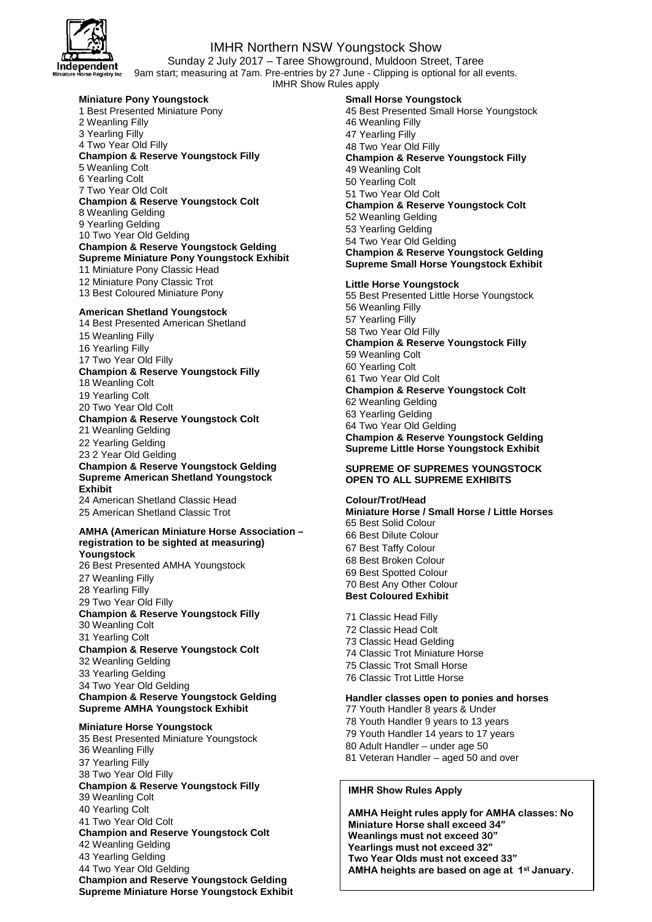

## IMHR Northern NSW Youngstock Show

Sunday 2 July 2017 – Taree Showground, Muldoon Street, Taree 9am start; measuring at 7am. Pre-entries by 27 June - Clipping is optional for all events. IMHR Show Rules apply

## **Miniature Pony Youngstock**

1 Best Presented Miniature Pony 2 Weanling Filly 3 Yearling Filly 4 Two Year Old Filly **Champion & Reserve Youngstock Filly**  5 Weanling Colt 6 Yearling Colt 7 Two Year Old Colt **Champion & Reserve Youngstock Colt**  8 Weanling Gelding 9 Yearling Gelding 10 Two Year Old Gelding **Champion & Reserve Youngstock Gelding Supreme Miniature Pony Youngstock Exhibit**  11 Miniature Pony Classic Head 12 Miniature Pony Classic Trot 13 Best Coloured Miniature Pony

#### **American Shetland Youngstock**

14 Best Presented American Shetland Weanling Filly Yearling Filly Two Year Old Filly **Champion & Reserve Youngstock Filly**  Weanling Colt Yearling Colt Two Year Old Colt **Champion & Reserve Youngstock Colt**  Weanling Gelding Yearling Gelding 2 Year Old Gelding **Champion & Reserve Youngstock Gelding Supreme American Shetland Youngstock Exhibit**  American Shetland Classic Head American Shetland Classic Trot

#### **AMHA (American Miniature Horse Association – registration to be sighted at measuring)**

**Youngstock**  26 Best Presented AMHA Youngstock 27 Weanling Filly 28 Yearling Filly 29 Two Year Old Filly **Champion & Reserve Youngstock Filly**  30 Weanling Colt 31 Yearling Colt **Champion & Reserve Youngstock Colt**  32 Weanling Gelding 33 Yearling Gelding 34 Two Year Old Gelding **Champion & Reserve Youngstock Gelding Supreme AMHA Youngstock Exhibit** 

#### **Miniature Horse Youngstock**

35 Best Presented Miniature Youngstock 36 Weanling Filly 37 Yearling Filly 38 Two Year Old Filly **Champion & Reserve Youngstock Filly**  39 Weanling Colt 40 Yearling Colt 41 Two Year Old Colt **Champion and Reserve Youngstock Colt**  42 Weanling Gelding 43 Yearling Gelding 44 Two Year Old Gelding **Champion and Reserve Youngstock Gelding Supreme Miniature Horse Youngstock Exhibit**  **Small Horse Youngstock**  45 Best Presented Small Horse Youngstock 46 Weanling Filly 47 Yearling Filly 48 Two Year Old Filly **Champion & Reserve Youngstock Filly**  49 Weanling Colt 50 Yearling Colt 51 Two Year Old Colt **Champion & Reserve Youngstock Colt**  52 Weanling Gelding 53 Yearling Gelding 54 Two Year Old Gelding **Champion & Reserve Youngstock Gelding Supreme Small Horse Youngstock Exhibit** 

## **Little Horse Youngstock**

55 Best Presented Little Horse Youngstock 56 Weanling Filly 57 Yearling Filly 58 Two Year Old Filly **Champion & Reserve Youngstock Filly**  59 Weanling Colt 60 Yearling Colt 61 Two Year Old Colt **Champion & Reserve Youngstock Colt**  62 Weanling Gelding 63 Yearling Gelding 64 Two Year Old Gelding **Champion & Reserve Youngstock Gelding Supreme Little Horse Youngstock Exhibit** 

## **SUPREME OF SUPREMES YOUNGSTOCK OPEN TO ALL SUPREME EXHIBITS**

#### **Colour/Trot/Head**

**Miniature Horse / Small Horse / Little Horses**  65 Best Solid Colour 66 Best Dilute Colour 67 Best Taffy Colour 68 Best Broken Colour 69 Best Spotted Colour 70 Best Any Other Colour **Best Coloured Exhibit**  71 Classic Head Filly 72 Classic Head Colt

- 73 Classic Head Gelding 74 Classic Trot Miniature Horse 75 Classic Trot Small Horse
- 76 Classic Trot Little Horse

#### **Handler classes open to ponies and horses**

77 Youth Handler 8 years & Under

- 78 Youth Handler 9 years to 13 years
- 79 Youth Handler 14 years to 17 years
- 80 Adult Handler under age 50
- 81 Veteran Handler aged 50 and over

## **IMHR Show Rules Apply**

**AMHA Height rules apply for AMHA classes: No Miniature Horse shall exceed 34" Weanlings must not exceed 30" Yearlings must not exceed 32" Two Year Olds must not exceed 33" AMHA heights are based on age at 1st January.**